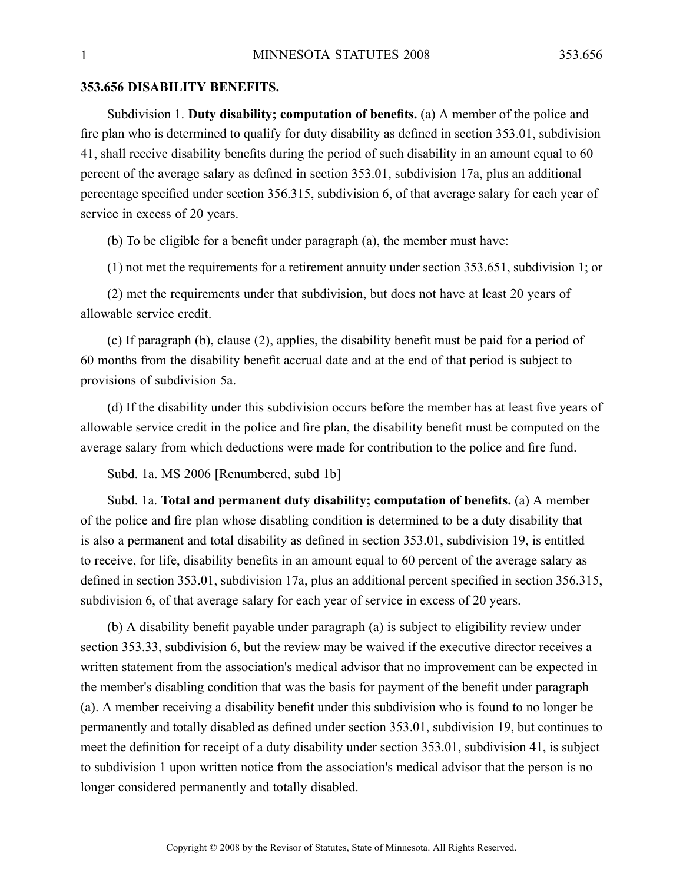## **353.656 DISABILITY BENEFITS.**

Subdivision 1. **Duty disability; computation of benefits.** (a) A member of the police and fire plan who is determined to qualify for duty disability as defined in section 353.01, subdivision 41, shall receive disability benefits during the period of such disability in an amount equal to 60 percen<sup>t</sup> of the average salary as defined in section 353.01, subdivision 17a, plus an additional percentage specified under section 356.315, subdivision 6, of that average salary for each year of service in excess of 20 years.

(b) To be eligible for <sup>a</sup> benefit under paragraph (a), the member must have:

(1) not met the requirements for <sup>a</sup> retirement annuity under section 353.651, subdivision 1; or

(2) met the requirements under that subdivision, but does not have at least 20 years of allowable service credit.

(c) If paragraph (b), clause (2), applies, the disability benefit must be paid for <sup>a</sup> period of 60 months from the disability benefit accrual date and at the end of that period is subject to provisions of subdivision 5a.

(d) If the disability under this subdivision occurs before the member has at least five years of allowable service credit in the police and fire plan, the disability benefit must be computed on the average salary from which deductions were made for contribution to the police and fire fund.

Subd. 1a. MS 2006 [Renumbered, subd 1b]

Subd. 1a. **Total and permanen<sup>t</sup> duty disability; computation of benefits.** (a) A member of the police and fire plan whose disabling condition is determined to be <sup>a</sup> duty disability that is also <sup>a</sup> permanen<sup>t</sup> and total disability as defined in section 353.01, subdivision 19, is entitled to receive, for life, disability benefits in an amount equal to 60 percen<sup>t</sup> of the average salary as defined in section 353.01, subdivision 17a, plus an additional percen<sup>t</sup> specified in section 356.315, subdivision 6, of that average salary for each year of service in excess of 20 years.

(b) A disability benefit payable under paragraph (a) is subject to eligibility review under section 353.33, subdivision 6, but the review may be waived if the executive director receives <sup>a</sup> written statement from the association's medical advisor that no improvement can be expected in the member's disabling condition that was the basis for paymen<sup>t</sup> of the benefit under paragraph (a). Amember receiving <sup>a</sup> disability benefit under this subdivision who is found to no longer be permanently and totally disabled as defined under section 353.01, subdivision 19, but continues to meet the definition for receipt of <sup>a</sup> duty disability under section 353.01, subdivision 41, is subject to subdivision 1 upon written notice from the association's medical advisor that the person is no longer considered permanently and totally disabled.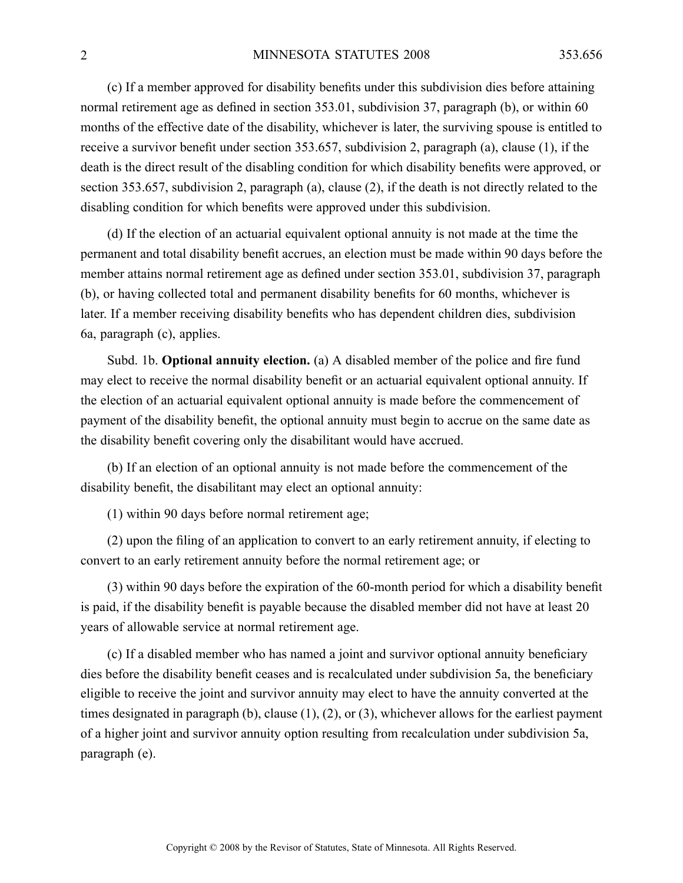(c) If <sup>a</sup> member approved for disability benefits under this subdivision dies before attaining normal retirement age as defined in section 353.01, subdivision 37, paragraph (b), or within 60 months of the effective date of the disability, whichever is later, the surviving spouse is entitled to receive <sup>a</sup> survivor benefit under section 353.657, subdivision 2, paragraph (a), clause (1), if the death is the direct result of the disabling condition for which disability benefits were approved, or section 353.657, subdivision 2, paragraph (a), clause (2), if the death is not directly related to the disabling condition for which benefits were approved under this subdivision.

(d) If the election of an actuarial equivalent optional annuity is not made at the time the permanen<sup>t</sup> and total disability benefit accrues, an election must be made within 90 days before the member attains normal retirement age as defined under section 353.01, subdivision 37, paragraph (b), or having collected total and permanen<sup>t</sup> disability benefits for 60 months, whichever is later. If <sup>a</sup> member receiving disability benefits who has dependent children dies, subdivision 6a, paragraph (c), applies.

Subd. 1b. **Optional annuity election.** (a) A disabled member of the police and fire fund may elect to receive the normal disability benefit or an actuarial equivalent optional annuity. If the election of an actuarial equivalent optional annuity is made before the commencement of paymen<sup>t</sup> of the disability benefit, the optional annuity must begin to accrue on the same date as the disability benefit covering only the disabilitant would have accrued.

(b) If an election of an optional annuity is not made before the commencement of the disability benefit, the disabilitant may elect an optional annuity:

(1) within 90 days before normal retirement age;

(2) upon the filing of an application to convert to an early retirement annuity, if electing to convert to an early retirement annuity before the normal retirement age; or

(3) within 90 days before the expiration of the 60-month period for which <sup>a</sup> disability benefit is paid, if the disability benefit is payable because the disabled member did not have at least 20 years of allowable service at normal retirement age.

(c) If <sup>a</sup> disabled member who has named <sup>a</sup> joint and survivor optional annuity beneficiary dies before the disability benefit ceases and is recalculated under subdivision 5a, the beneficiary eligible to receive the joint and survivor annuity may elect to have the annuity converted at the times designated in paragraph (b), clause (1), (2), or (3), whichever allows for the earliest paymen<sup>t</sup> of <sup>a</sup> higher joint and survivor annuity option resulting from recalculation under subdivision 5a, paragraph (e).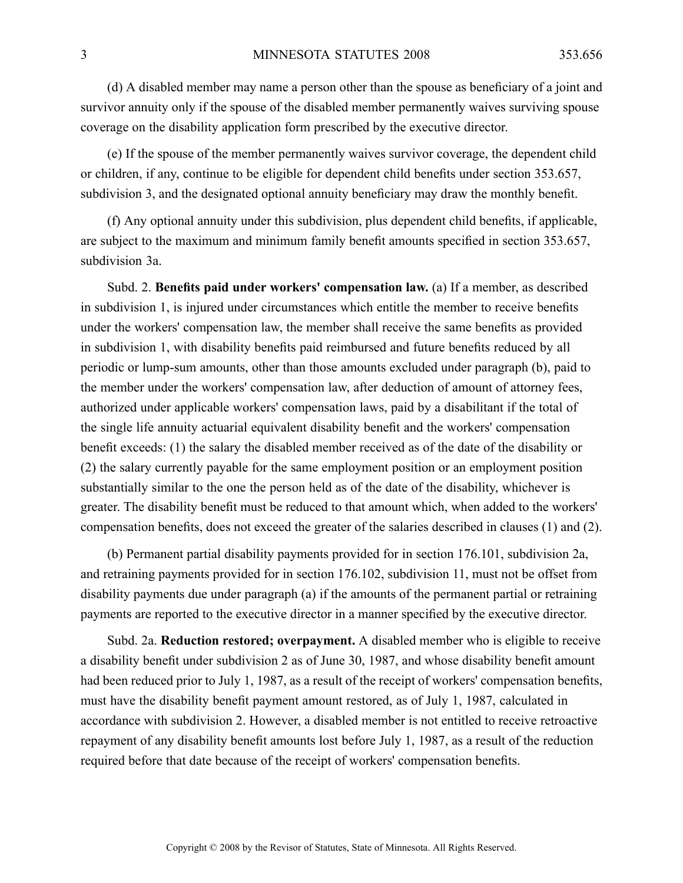(d) A disabled member may name <sup>a</sup> person other than the spouse as beneficiary of <sup>a</sup> joint and survivor annuity only if the spouse of the disabled member permanently waives surviving spouse coverage on the disability application form prescribed by the executive director.

(e) If the spouse of the member permanently waives survivor coverage, the dependent child or children, if any, continue to be eligible for dependent child benefits under section 353.657, subdivision 3, and the designated optional annuity beneficiary may draw the monthly benefit.

(f) Any optional annuity under this subdivision, plus dependent child benefits, if applicable, are subject to the maximum and minimum family benefit amounts specified in section 353.657, subdivision 3a.

Subd. 2. **Benefits paid under workers' compensation law.** (a) If <sup>a</sup> member, as described in subdivision 1, is injured under circumstances which entitle the member to receive benefits under the workers' compensation law, the member shall receive the same benefits as provided in subdivision 1, with disability benefits paid reimbursed and future benefits reduced by all periodic or lump-sum amounts, other than those amounts excluded under paragraph (b), paid to the member under the workers' compensation law, after deduction of amount of attorney fees, authorized under applicable workers' compensation laws, paid by <sup>a</sup> disabilitant if the total of the single life annuity actuarial equivalent disability benefit and the workers' compensation benefit exceeds: (1) the salary the disabled member received as of the date of the disability or (2) the salary currently payable for the same employment position or an employment position substantially similar to the one the person held as of the date of the disability, whichever is greater. The disability benefit must be reduced to that amount which, when added to the workers' compensation benefits, does not exceed the greater of the salaries described in clauses (1) and (2).

(b) Permanent partial disability payments provided for in section 176.101, subdivision 2a, and retraining payments provided for in section 176.102, subdivision 11, must not be offset from disability payments due under paragraph (a) if the amounts of the permanen<sup>t</sup> partial or retraining payments are reported to the executive director in <sup>a</sup> manner specified by the executive director.

Subd. 2a. **Reduction restored; overpayment.** Adisabled member who is eligible to receive <sup>a</sup> disability benefit under subdivision 2 as of June 30, 1987, and whose disability benefit amount had been reduced prior to July 1, 1987, as <sup>a</sup> result of the receipt of workers' compensation benefits, must have the disability benefit paymen<sup>t</sup> amount restored, as of July 1, 1987, calculated in accordance with subdivision 2. However, <sup>a</sup> disabled member is not entitled to receive retroactive repaymen<sup>t</sup> of any disability benefit amounts lost before July 1, 1987, as <sup>a</sup> result of the reduction required before that date because of the receipt of workers' compensation benefits.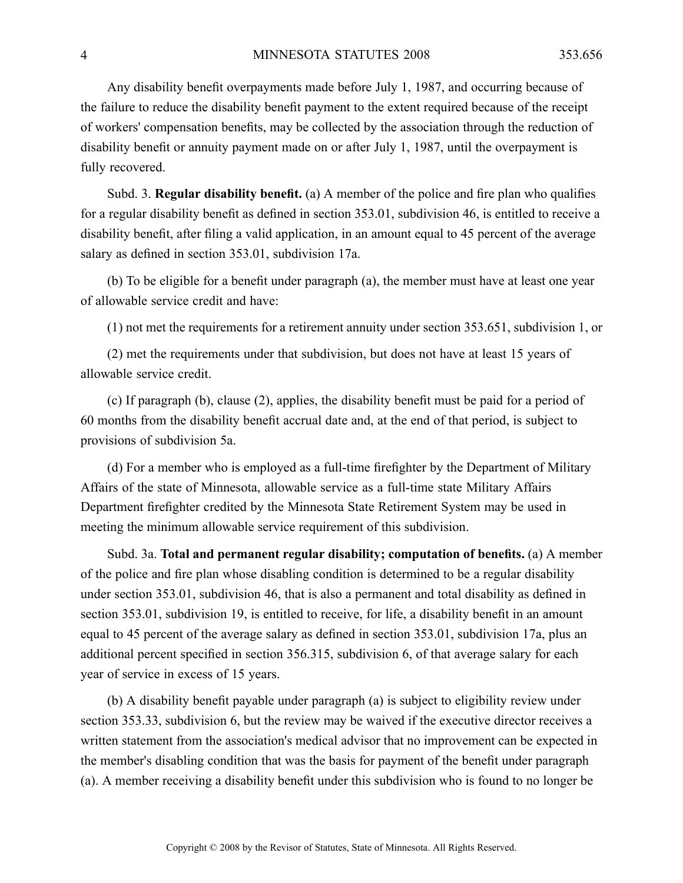Any disability benefit overpayments made before July 1, 1987, and occurring because of the failure to reduce the disability benefit paymen<sup>t</sup> to the extent required because of the receipt of workers' compensation benefits, may be collected by the association through the reduction of disability benefit or annuity paymen<sup>t</sup> made on or after July 1, 1987, until the overpaymen<sup>t</sup> is fully recovered.

Subd. 3. **Regular disability benefit.** (a) A member of the police and fire plan who qualifies for <sup>a</sup> regular disability benefit as defined in section 353.01, subdivision 46, is entitled to receive <sup>a</sup> disability benefit, after filing <sup>a</sup> valid application, in an amount equal to 45 percen<sup>t</sup> of the average salary as defined in section 353.01, subdivision 17a.

(b) To be eligible for <sup>a</sup> benefit under paragraph (a), the member must have at least one year of allowable service credit and have:

(1) not met the requirements for <sup>a</sup> retirement annuity under section 353.651, subdivision 1, or

(2) met the requirements under that subdivision, but does not have at least 15 years of allowable service credit.

(c) If paragraph (b), clause (2), applies, the disability benefit must be paid for <sup>a</sup> period of 60 months from the disability benefit accrual date and, at the end of that period, is subject to provisions of subdivision 5a.

(d) For <sup>a</sup> member who is employed as <sup>a</sup> full-time firefighter by the Department of Military Affairs of the state of Minnesota, allowable service as <sup>a</sup> full-time state Military Affairs Department firefighter credited by the Minnesota State Retirement System may be used in meeting the minimum allowable service requirement of this subdivision.

Subd. 3a. **Total and permanen<sup>t</sup> regular disability; computation of benefits.** (a) A member of the police and fire plan whose disabling condition is determined to be <sup>a</sup> regular disability under section 353.01, subdivision 46, that is also <sup>a</sup> permanen<sup>t</sup> and total disability as defined in section 353.01, subdivision 19, is entitled to receive, for life, <sup>a</sup> disability benefit in an amount equal to 45 percen<sup>t</sup> of the average salary as defined in section 353.01, subdivision 17a, plus an additional percen<sup>t</sup> specified in section 356.315, subdivision 6, of that average salary for each year of service in excess of 15 years.

(b) A disability benefit payable under paragraph (a) is subject to eligibility review under section 353.33, subdivision 6, but the review may be waived if the executive director receives <sup>a</sup> written statement from the association's medical advisor that no improvement can be expected in the member's disabling condition that was the basis for paymen<sup>t</sup> of the benefit under paragraph (a). Amember receiving <sup>a</sup> disability benefit under this subdivision who is found to no longer be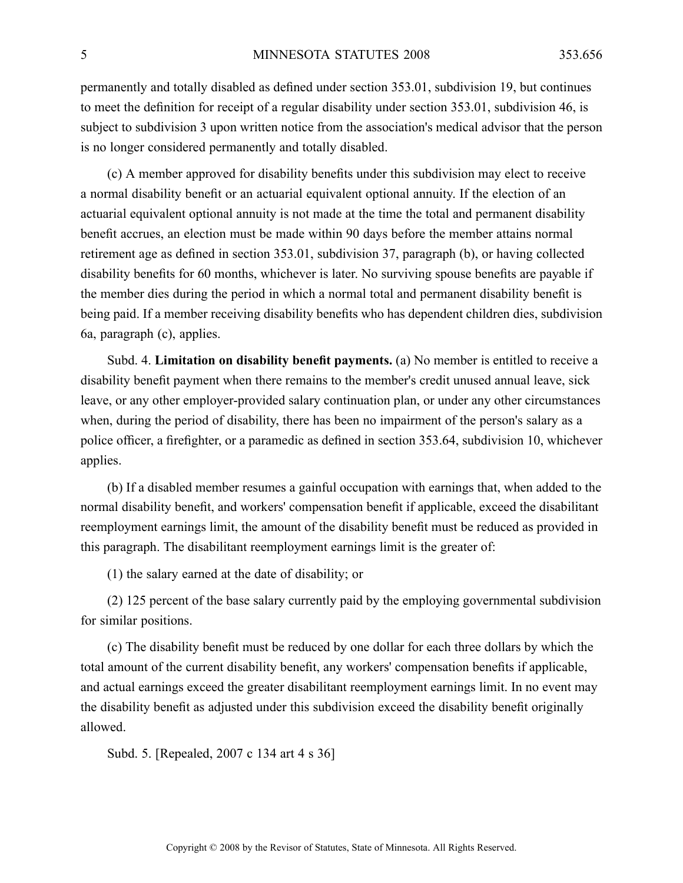permanently and totally disabled as defined under section 353.01, subdivision 19, but continues to meet the definition for receipt of <sup>a</sup> regular disability under section 353.01, subdivision 46, is subject to subdivision 3 upon written notice from the association's medical advisor that the person is no longer considered permanently and totally disabled.

(c) A member approved for disability benefits under this subdivision may elect to receive <sup>a</sup> normal disability benefit or an actuarial equivalent optional annuity. If the election of an actuarial equivalent optional annuity is not made at the time the total and permanen<sup>t</sup> disability benefit accrues, an election must be made within 90 days before the member attains normal retirement age as defined in section 353.01, subdivision 37, paragraph (b), or having collected disability benefits for 60 months, whichever is later. No surviving spouse benefits are payable if the member dies during the period in which <sup>a</sup> normal total and permanen<sup>t</sup> disability benefit is being paid. If <sup>a</sup> member receiving disability benefits who has dependent children dies, subdivision 6a, paragraph (c), applies.

Subd. 4. **Limitation on disability benefit payments.** (a) No member is entitled to receive <sup>a</sup> disability benefit paymen<sup>t</sup> when there remains to the member's credit unused annual leave, sick leave, or any other employer-provided salary continuation plan, or under any other circumstances when, during the period of disability, there has been no impairment of the person's salary as <sup>a</sup> police officer, <sup>a</sup> firefighter, or <sup>a</sup> paramedic as defined in section 353.64, subdivision 10, whichever applies.

(b) If <sup>a</sup> disabled member resumes <sup>a</sup> gainful occupation with earnings that, when added to the normal disability benefit, and workers' compensation benefit if applicable, exceed the disabilitant reemployment earnings limit, the amount of the disability benefit must be reduced as provided in this paragraph. The disabilitant reemployment earnings limit is the greater of:

(1) the salary earned at the date of disability; or

(2) 125 percen<sup>t</sup> of the base salary currently paid by the employing governmental subdivision for similar positions.

(c) The disability benefit must be reduced by one dollar for each three dollars by which the total amount of the current disability benefit, any workers' compensation benefits if applicable, and actual earnings exceed the greater disabilitant reemployment earnings limit. In no event may the disability benefit as adjusted under this subdivision exceed the disability benefit originally allowed.

Subd. 5. [Repealed, 2007 <sup>c</sup> 134 art 4 <sup>s</sup> 36]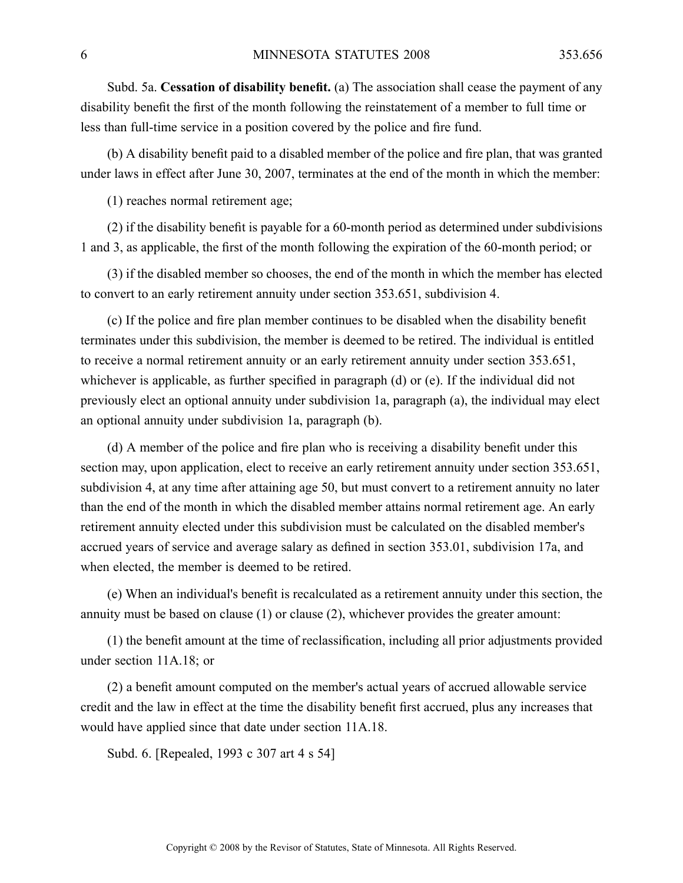Subd. 5a. **Cessation of disability benefit.** (a) The association shall cease the paymen<sup>t</sup> of any disability benefit the first of the month following the reinstatement of <sup>a</sup> member to full time or less than full-time service in <sup>a</sup> position covered by the police and fire fund.

(b) A disability benefit paid to <sup>a</sup> disabled member of the police and fire plan, that was granted under laws in effect after June 30, 2007, terminates at the end of the month in which the member:

(1) reaches normal retirement age;

(2) if the disability benefit is payable for <sup>a</sup> 60-month period as determined under subdivisions 1 and 3, as applicable, the first of the month following the expiration of the 60-month period; or

(3) if the disabled member so chooses, the end of the month in which the member has elected to convert to an early retirement annuity under section 353.651, subdivision 4.

(c) If the police and fire plan member continues to be disabled when the disability benefit terminates under this subdivision, the member is deemed to be retired. The individual is entitled to receive <sup>a</sup> normal retirement annuity or an early retirement annuity under section 353.651, whichever is applicable, as further specified in paragraph (d) or (e). If the individual did not previously elect an optional annuity under subdivision 1a, paragraph (a), the individual may elect an optional annuity under subdivision 1a, paragraph (b).

(d) A member of the police and fire plan who is receiving <sup>a</sup> disability benefit under this section may, upon application, elect to receive an early retirement annuity under section 353.651, subdivision 4, at any time after attaining age 50, but must convert to <sup>a</sup> retirement annuity no later than the end of the month in which the disabled member attains normal retirement age. An early retirement annuity elected under this subdivision must be calculated on the disabled member's accrued years of service and average salary as defined in section 353.01, subdivision 17a, and when elected, the member is deemed to be retired.

(e) When an individual's benefit is recalculated as <sup>a</sup> retirement annuity under this section, the annuity must be based on clause (1) or clause (2), whichever provides the greater amount:

(1) the benefit amount at the time of reclassification, including all prior adjustments provided under section 11A.18; or

(2) <sup>a</sup> benefit amount computed on the member's actual years of accrued allowable service credit and the law in effect at the time the disability benefit first accrued, plus any increases that would have applied since that date under section 11A.18.

Subd. 6. [Repealed, 1993 <sup>c</sup> 307 art 4 <sup>s</sup> 54]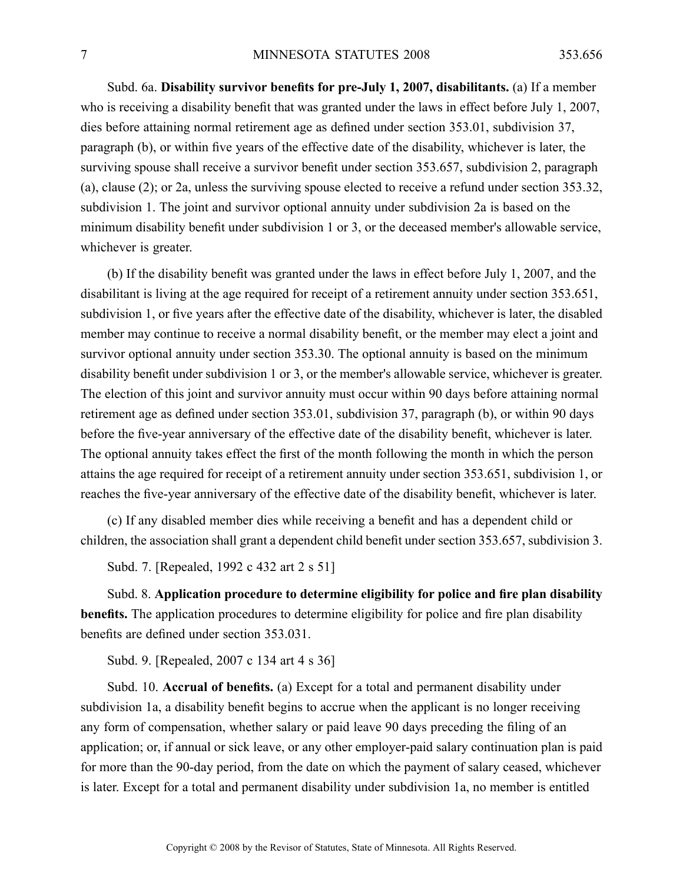Subd. 6a. **Disability survivor benefits for pre-July 1, 2007, disabilitants.** (a) If <sup>a</sup> member who is receiving <sup>a</sup> disability benefit that was granted under the laws in effect before July 1, 2007, dies before attaining normal retirement age as defined under section 353.01, subdivision 37, paragraph (b), or within five years of the effective date of the disability, whichever is later, the surviving spouse shall receive <sup>a</sup> survivor benefit under section 353.657, subdivision 2, paragraph (a), clause (2); or 2a, unless the surviving spouse elected to receive <sup>a</sup> refund under section 353.32, subdivision 1. The joint and survivor optional annuity under subdivision 2a is based on the minimum disability benefit under subdivision 1 or 3, or the deceased member's allowable service, whichever is greater.

(b) If the disability benefit was granted under the laws in effect before July 1, 2007, and the disabilitant is living at the age required for receipt of <sup>a</sup> retirement annuity under section 353.651, subdivision 1, or five years after the effective date of the disability, whichever is later, the disabled member may continue to receive <sup>a</sup> normal disability benefit, or the member may elect <sup>a</sup> joint and survivor optional annuity under section 353.30. The optional annuity is based on the minimum disability benefit under subdivision 1 or 3, or the member's allowable service, whichever is greater. The election of this joint and survivor annuity must occur within 90 days before attaining normal retirement age as defined under section 353.01, subdivision 37, paragraph (b), or within 90 days before the five-year anniversary of the effective date of the disability benefit, whichever is later. The optional annuity takes effect the first of the month following the month in which the person attains the age required for receipt of <sup>a</sup> retirement annuity under section 353.651, subdivision 1, or reaches the five-year anniversary of the effective date of the disability benefit, whichever is later.

(c) If any disabled member dies while receiving <sup>a</sup> benefit and has <sup>a</sup> dependent child or children, the association shall gran<sup>t</sup> <sup>a</sup> dependent child benefit under section 353.657, subdivision 3.

Subd. 7. [Repealed, 1992 <sup>c</sup> 432 art 2 <sup>s</sup> 51]

Subd. 8. **Application procedure to determine eligibility for police and fire plan disability benefits.** The application procedures to determine eligibility for police and fire plan disability benefits are defined under section 353.031.

Subd. 9. [Repealed, 2007 <sup>c</sup> 134 art 4 <sup>s</sup> 36]

Subd. 10. **Accrual of benefits.** (a) Except for <sup>a</sup> total and permanen<sup>t</sup> disability under subdivision 1a, <sup>a</sup> disability benefit begins to accrue when the applicant is no longer receiving any form of compensation, whether salary or paid leave 90 days preceding the filing of an application; or, if annual or sick leave, or any other employer-paid salary continuation plan is paid for more than the 90-day period, from the date on which the paymen<sup>t</sup> of salary ceased, whichever is later. Except for <sup>a</sup> total and permanen<sup>t</sup> disability under subdivision 1a, no member is entitled